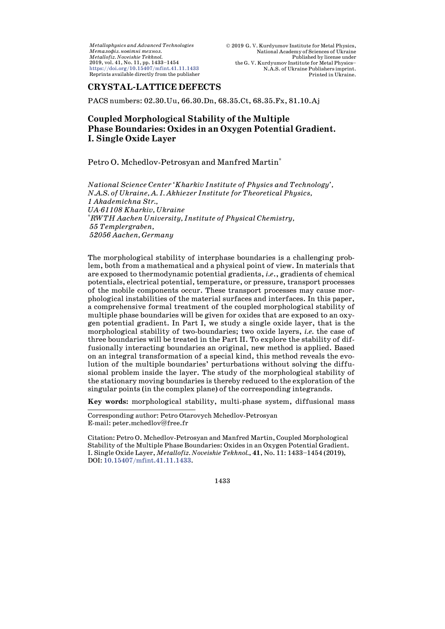*Metallophysics and Advanced Technologies Ìåòàëîôіç. íîâіòíі òåõíîë. Metallofiz. Noveishie Tekhnol.* 2019, vol. 41, No. 11, pp. 1433–1454 <https://doi.org/10.15407/mfint.41.11.1433> Reprints available directly from the publisher

# **CRYSTAL-LATTICE DEFECTS**

PACS numbers: 02.30.Uu, 66.30.Dn, 68.35.Ct, 68.35.Fx, 81.10.Aj

# **Coupled Morphological Stability of the Multiple Phase Boundaries: Oxides in an Oxygen Potential Gradient. I. Single Oxide Layer**

Petro O. Mchedlov-Petrosyan and Manfred Martin\*

*National Science Center 'Kharkiv Institute of Physics and Technology', N.A.S. of Ukraine, A. I. Akhiezer Institute for Theoretical Physics, 1 Akademichna Str., UA-61108 Kharkiv, Ukraine \* RWTH Aachen University, Institute of Physical Chemistry, 55 Templergraben, 52056 Aachen, Germany*

The morphological stability of interphase boundaries is a challenging problem, both from a mathematical and a physical point of view. In materials that are exposed to thermodynamic potential gradients, *i.e*., gradients of chemical potentials, electrical potential, temperature, or pressure, transport processes of the mobile components occur. These transport processes may cause morphological instabilities of the material surfaces and interfaces. In this paper, a comprehensive formal treatment of the coupled morphological stability of multiple phase boundaries will be given for oxides that are exposed to an oxygen potential gradient. In Part I, we study a single oxide layer, that is the morphological stability of two-boundaries; two oxide layers, *i.e.* the case of three boundaries will be treated in the Part II. To explore the stability of diffusionally interacting boundaries an original, new method is applied. Based on an integral transformation of a special kind, this method reveals the evolution of the multiple boundaries' perturbations without solving the diffusional problem inside the layer. The study of the morphological stability of the stationary moving boundaries is thereby reduced to the exploration of the singular points (in the complex plane) of the corresponding integrands.

**Key words:** morphological stability, multi-phase system, diffusional mass

Corresponding author: Petro Otarovych Mchedlov-Petrosyan E-mail: [peter.mchedlov@free.fr](mailto:peter.mchedlov@free.fr)

Citation: Petro O. Mchedlov-Petrosyan and Manfred Martin, Coupled Morphological Stability of the Multiple Phase Boundaries: Oxides in an Oxygen Potential Gradient. I. Single Oxide Layer, *Metallofiz. Noveishie Tekhnol.*, **41**, No. 11: 1433–1454 (2019), DOI: [10.15407/mfint.41.11.1433.](https://doi.org/10.15407/mfint.41.11.1433)

1433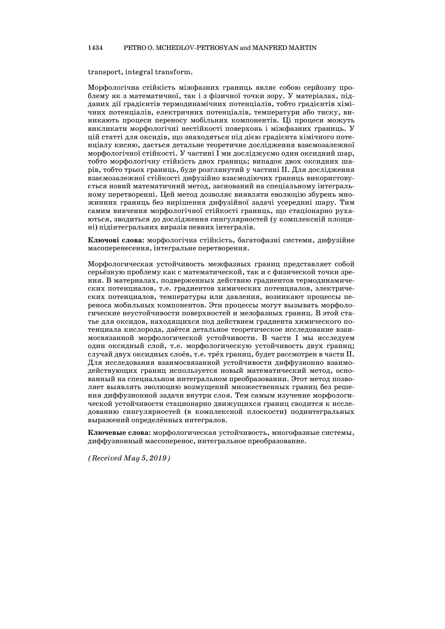#### 1434 PETRO O. MCHEDLOV-PETROSYAN and MANFRED MARTIN

transport, integral transform.

Морфологічна стійкість міжфазних границь являє собою серйозну проблему як з математичної, так і з фізичної точки зору. У матеріалах, підданих дії градієнтів термодинамічних потенціалів, тобто градієнтів хімічних потенціалів, електричних потенціалів, температури або тиску, виникають процеси переносу мобільних компонентів. Ці процеси можуть викликати морфологічні нестійкості поверхонь і міжфазних границь. У цій статті для оксидів, що знаходяться під дією градієнта хімічного потенціалу кисню, дається детальне теоретичне дослідження взаємозалежної морфологічної стійкості. У частині I ми досліджуємо один оксидний шар, тобто морфологічну стійкість двох границь; випадок двох оксидних шарів, тобто трьох границь, буде розглянутий у частині II. Для дослідження взаємозалежної стійкості дифузійно взаємодіючих границь використовується новий математичний метод, заснований на спеціальному інтегральному перетворенні. Цей метод дозволяє виявляти еволюцію збурень множинних границь без вирішення дифузійної задачі усередині шару. Тим самим вивчення морфологічної стійкості границь, що стаціонарно рухаються, зводиться до дослідження сингулярностей (у комплексній площині) підінтегральних виразів певних інтегралів.

**Ключові слова:** морфологічна стійкість, багатофазні системи, дифузійне масоперенесення, інтегральне перетворення.

Морфологическая устойчивость межфазных границ представляет собой серьёзную проблему как с математической, так и с физической точки зрения. В материалах, подверженных действию градиентов термодинамических потенциалов, т.е. градиентов химических потенциалов, электрических потенциалов, температуры или давления, возникают процессы переноса мобильных компонентов. Эти процессы могут вызывать морфологические неустойчивости поверхностей и межфазных границ. В этой статье для оксидов, находящихся под действием градиента химического потенциала кислорода, даётся детальное теоретическое исследование взаимосвязанной морфологической устойчивости. В части I мы исследуем один оксидный слой, т.е. морфологическую устойчивость двух границ; случай двух оксидных слоёв, т.е. трёх границ, будет рассмотрен в части II. Для исследования взаимосвязанной устойчивости диффузионно взаимодействующих границ используется новый математический метод, основанный на специальном интегральном преобразовании. Этот метод позволяет выявлять эволюцию возмущений множественных границ без решения диффузионной задачи внутри слоя. Тем самым изучение морфологической устойчивости стационарно движущихся границ сводится к исследованию сингулярностей (в комплексной плоскости) подинтегральных выражений определённых интегралов.

**Ключевые слова:** морфологическая устойчивость, многофазные системы, диффузионный массоперенос, интегральное преобразование.

*(Received May 5, 2019)*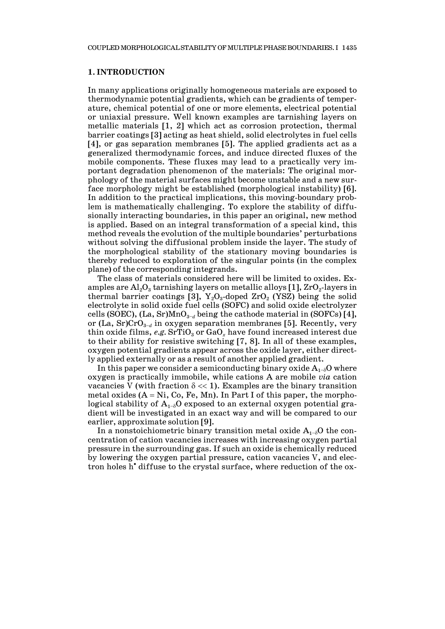#### **1. INTRODUCTION**

In many applications originally homogeneous materials are exposed to thermodynamic potential gradients, which can be gradients of temperature, chemical potential of one or more elements, electrical potential or uniaxial pressure. Well known examples are tarnishing layers on metallic materials [1, 2] which act as corrosion protection, thermal barrier coatings [3] acting as heat shield, solid electrolytes in fuel cells [4], or gas separation membranes [5]. The applied gradients act as a generalized thermodynamic forces, and induce directed fluxes of the mobile components. These fluxes may lead to a practically very important degradation phenomenon of the materials: The original morphology of the material surfaces might become unstable and a new surface morphology might be established (morphological instability) [6]. In addition to the practical implications, this moving-boundary problem is mathematically challenging. To explore the stability of diffusionally interacting boundaries, in this paper an original, new method is applied. Based on an integral transformation of a special kind, this method reveals the evolution of the multiple boundaries' perturbations without solving the diffusional problem inside the layer. The study of the morphological stability of the stationary moving boundaries is thereby reduced to exploration of the singular points (in the complex plane) of the corresponding integrands.

The class of materials considered here will be limited to oxides. Examples are  $\text{Al}_2\text{O}_3$  tarnishing layers on metallic alloys [1],  $\text{ZrO}_2$ -layers in thermal barrier coatings [3],  $Y_2O_3$ -doped  $ZrO_2$  (YSZ) being the solid electrolyte in solid oxide fuel cells (SOFC) and solid oxide electrolyzer cells (SOEC), (La, Sr)MnO<sub>3−*d*</sub> being the cathode material in (SOFCs) [4], or (La, Sr)CrO3<sup>−</sup>*<sup>d</sup>* in oxygen separation membranes [5]. Recently, very thin oxide films,  $e.g. SrTiO<sub>3</sub>$  or  $GaO<sub>x</sub>$  have found increased interest due to their ability for resistive switching [7, 8]. In all of these examples, oxygen potential gradients appear across the oxide layer, either directly applied externally or as a result of another applied gradient.

In this paper we consider a semiconducting binary oxide  $A_{1-\delta}O$  where oxygen is practically immobile, while cations A are mobile *via* cation vacancies V (with fraction  $\delta \ll 1$ ). Examples are the binary transition metal oxides  $(A = Ni, Co, Fe, Mn)$ . In Part I of this paper, the morphological stability of  $A_{1-\delta}$ O exposed to an external oxygen potential gradient will be investigated in an exact way and will be compared to our earlier, approximate solution [9].

In a nonstoichiometric binary transition metal oxide  $A_{1-\delta}O$  the concentration of cation vacancies increases with increasing oxygen partial pressure in the surrounding gas. If such an oxide is chemically reduced by lowering the oxygen partial pressure, cation vacancies V, and electron holes h• diffuse to the crystal surface, where reduction of the ox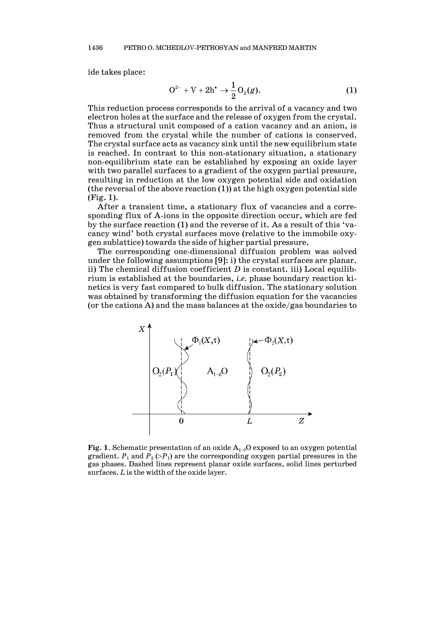ide takes place:

$$
O^{2-} + V + 2h^{*} \rightarrow \frac{1}{2}O_{2}(g).
$$
 (1)

This reduction process corresponds to the arrival of a vacancy and two electron holes at the surface and the release of oxygen from the crystal. Thus a structural unit composed of a cation vacancy and an anion, is removed from the crystal while the number of cations is conserved. The crystal surface acts as vacancy sink until the new equilibrium state is reached. In contrast to this non-stationary situation, a stationary non-equilibrium state can be established by exposing an oxide layer with two parallel surfaces to a gradient of the oxygen partial pressure, resulting in reduction at the low oxygen potential side and oxidation (the reversal of the above reaction  $(1)$ ) at the high oxygen potential side (Fig. 1).

After a transient time, a stationary flux of vacancies and a corresponding flux of A-ions in the opposite direction occur, which are fed by the surface reaction (1) and the reverse of it. As a result of this 'vacancy wind' both crystal surfaces move (relative to the immobile oxygen sublattice) towards the side of higher partial pressure.

The corresponding one-dimensional diffusion problem was solved under the following assumptions [9]: i) the crystal surfaces are planar. ii) The chemical diffusion coefficient *D* is constant. iii) Local equilibrium is established at the boundaries, *i.e.* phase boundary reaction kinetics is very fast compared to bulk diffusion. The stationary solution was obtained by transforming the diffusion equation for the vacancies (or the cations A) and the mass balances at the oxide/gas boundaries to



**Fig. 1**. Schematic presentation of an oxide  $A_{1-\delta}$ O exposed to an oxygen potential gradient.  $P_1$  and  $P_2$  (> $P_1$ ) are the corresponding oxygen partial pressures in the gas phases. Dashed lines represent planar oxide surfaces, solid lines perturbed surfaces. *L* is the width of the oxide layer.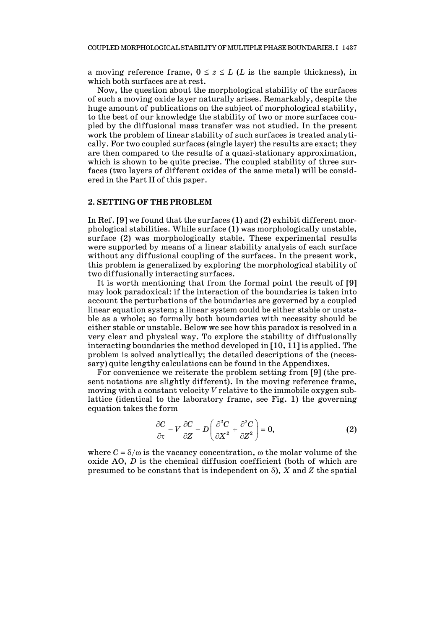a moving reference frame,  $0 \le z \le L$  (*L* is the sample thickness), in which both surfaces are at rest.

Now, the question about the morphological stability of the surfaces of such a moving oxide layer naturally arises. Remarkably, despite the huge amount of publications on the subject of morphological stability, to the best of our knowledge the stability of two or more surfaces coupled by the diffusional mass transfer was not studied. In the present work the problem of linear stability of such surfaces is treated analytically. For two coupled surfaces (single layer) the results are exact; they are then compared to the results of a quasi-stationary approximation, which is shown to be quite precise. The coupled stability of three surfaces (two layers of different oxides of the same metal) will be considered in the Part II of this paper.

## **2. SETTING OF THE PROBLEM**

In Ref. [9] we found that the surfaces (1) and (2) exhibit different morphological stabilities. While surface (1) was morphologically unstable, surface (2) was morphologically stable. These experimental results were supported by means of a linear stability analysis of each surface without any diffusional coupling of the surfaces. In the present work, this problem is generalized by exploring the morphological stability of two diffusionally interacting surfaces.

It is worth mentioning that from the formal point the result of [9] may look paradoxical: if the interaction of the boundaries is taken into account the perturbations of the boundaries are governed by a coupled linear equation system; a linear system could be either stable or unstable as a whole; so formally both boundaries with necessity should be either stable or unstable. Below we see how this paradox is resolved in a very clear and physical way. To explore the stability of diffusionally interacting boundaries the method developed in [10, 11] is applied. The problem is solved analytically; the detailed descriptions of the (necessary) quite lengthy calculations can be found in the Appendixes.

For convenience we reiterate the problem setting from [9] (the present notations are slightly different). In the moving reference frame, moving with a constant velocity *V* relative to the immobile oxygen sublattice (identical to the laboratory frame, see Fig. 1) the governing equation takes the form

$$
\frac{\partial C}{\partial \tau} - V \frac{\partial C}{\partial Z} - D \left( \frac{\partial^2 C}{\partial X^2} + \frac{\partial^2 C}{\partial Z^2} \right) = 0, \tag{2}
$$

where  $C = \delta/\omega$  is the vacancy concentration,  $\omega$  the molar volume of the oxide AO, *D* is the chemical diffusion coefficient (both of which are presumed to be constant that is independent on  $\delta$ ), *X* and *Z* the spatial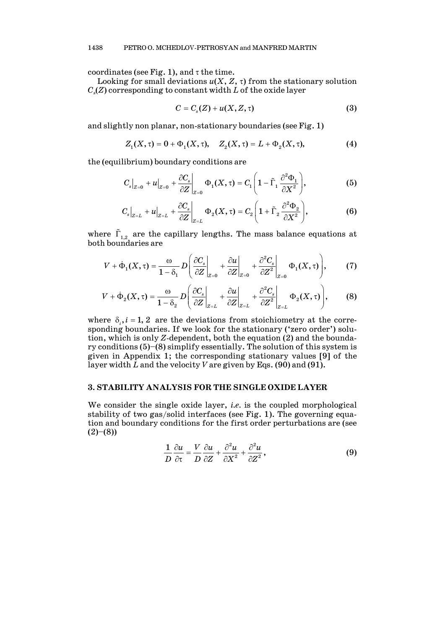coordinates (see Fig. 1), and  $\tau$  the time.

Looking for small deviations  $u(X, Z, \tau)$  from the stationary solution *Cs*(*Z*) corresponding to constant width *L* of the oxide layer

$$
C = C_s(Z) + u(X, Z, \tau) \tag{3}
$$

and slightly non planar, non-stationary boundaries (see Fig. 1)

$$
Z_1(X, \tau) = 0 + \Phi_1(X, \tau), \quad Z_2(X, \tau) = L + \Phi_2(X, \tau), \tag{4}
$$

the (equilibrium) boundary conditions are

$$
C_s\big|_{Z=0} + u\big|_{Z=0} + \frac{\partial C_s}{\partial Z}\bigg|_{Z=0} \Phi_1(X,\tau) = C_1 \left(1 - \tilde{\Gamma}_1 \frac{\partial^2 \Phi_1}{\partial X^2}\right),\tag{5}
$$

$$
C_s\big|_{Z=L} + u\big|_{Z=L} + \frac{\partial C_s}{\partial Z}\bigg|_{Z=L} \Phi_2(X,\tau) = C_2 \left(1 + \tilde{\Gamma}_2 \frac{\partial^2 \Phi_2}{\partial X^2}\right),\tag{6}
$$

where  $\tilde{\Gamma}_{1,2}$  are the capillary lengths. The mass balance equations at both boundaries are

$$
V + \dot{\Phi}_1(X, \tau) = \frac{\omega}{1 - \delta_1} D \left( \frac{\partial C_s}{\partial Z} \bigg|_{Z=0} + \frac{\partial u}{\partial Z} \bigg|_{Z=0} + \frac{\partial^2 C_s}{\partial Z^2} \bigg|_{Z=0} \Phi_1(X, \tau) \right), \tag{7}
$$

$$
V + \dot{\Phi}_2(X, \tau) = \frac{\omega}{1 - \delta_2} D \left( \frac{\partial C_s}{\partial Z} \bigg|_{Z=L} + \frac{\partial u}{\partial Z} \bigg|_{Z=L} + \frac{\partial^2 C_s}{\partial Z^2} \bigg|_{Z=L} \Phi_2(X, \tau) \right), \tag{8}
$$

where  $\delta_i$ ,  $i = 1, 2$  are the deviations from stoichiometry at the corresponding boundaries. If we look for the stationary ('zero order') solution, which is only *Z*-dependent, both the equation (2) and the boundary conditions (5)–(8) simplify essentially. The solution of this system is given in Appendix 1; the corresponding stationary values [9] of the layer width *L* and the velocity *V* are given by Eqs. (90) and (91).

#### **3. STABILITY ANALYSIS FOR THE SINGLE OXIDE LAYER**

We consider the single oxide layer, *i.e.* is the coupled morphological stability of two gas/solid interfaces (see Fig. 1). The governing equation and boundary conditions for the first order perturbations are (see  $(2)-(8)$ 

$$
\frac{1}{D}\frac{\partial u}{\partial \tau} = \frac{V}{D}\frac{\partial u}{\partial Z} + \frac{\partial^2 u}{\partial X^2} + \frac{\partial^2 u}{\partial Z^2},
$$
(9)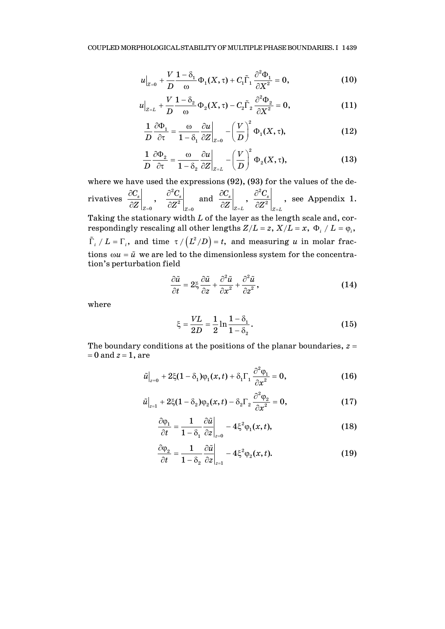$$
u\Big|_{Z=0} + \frac{V}{D} \frac{1-\delta_1}{\omega} \Phi_1(X,\tau) + C_1 \tilde{\Gamma}_1 \frac{\partial^2 \Phi_1}{\partial X^2} = 0, \tag{10}
$$

$$
u\Big|_{Z=L} + \frac{V}{D} \frac{1-\delta_2}{\omega} \Phi_2(X,\tau) - C_2 \tilde{\Gamma}_2 \frac{\partial^2 \Phi_2}{\partial X^2} = 0, \tag{11}
$$

$$
\frac{1}{D} \frac{\partial \Phi_1}{\partial \tau} = \frac{\omega}{1 - \delta_1} \frac{\partial u}{\partial Z}\bigg|_{Z=0} - \left(\frac{V}{D}\right)^2 \Phi_1(X, \tau),\tag{12}
$$

$$
\frac{1}{D} \frac{\partial \Phi_2}{\partial \tau} = \frac{\omega}{1 - \delta_2} \frac{\partial u}{\partial Z}\bigg|_{Z=L} - \left(\frac{V}{D}\right)^2 \Phi_2(X, \tau), \tag{13}
$$

where we have used the expressions (92), (93) for the values of the derivatives 2  $\left.\begin{matrix} \mathbf{0} & \partial \mathbf{Z}^{2}\end{matrix}\right|_{\mathbf{Z}=\mathbf{0}}$  $\frac{s}{2}$ ,  $\frac{0}{2}$  $Z=0$   $\overline{Z}$   $|Z|$  $|C_s|$   $\partial^2 C_s$  $Z\left|_{Z=0}\right\rangle \left.\left.\right.\right. \left.\left.\partial Z^{2}\right.\right|_{Z=0}$  $\partial C_s$   $\qquad \partial$  $\partial Z\big|_{Z=0}$   $\hat{O}$ and  $\frac{1}{2}$ ,  $\frac{\partial^2 C_s}{\partial \mathbf{Z}^2}$ ,  $Z=L$   $Z=L$  $|C_s|$   $\partial^2 C$  $Z\left|_{Z=L}\right\rangle \left\langle \partial Z^{2}\right|_{Z=L}$ ∂ $C_s$ | ∂  $\partial Z \big|_{Z=L}$   $\partial$ see Appendix 1. Taking the stationary width *L* of the layer as the length scale and, cor-

respondingly rescaling all other lengths  $Z/L = z$ ,  $X/L = x$ ,  $\Phi_i / L = \varphi_i$ ,  $\int_{I_i}^{L} / L = \Gamma_i$ , and time  $\tau / (L^2/D) = t$ , and measuring *u* in molar fractions  $\omega u = \tilde{u}$  we are led to the dimensionless system for the concentration's perturbation field

$$
\frac{\partial \tilde{u}}{\partial t} = 2\xi \frac{\partial \tilde{u}}{\partial z} + \frac{\partial^2 \tilde{u}}{\partial x^2} + \frac{\partial^2 \tilde{u}}{\partial z^2},\tag{14}
$$

where

$$
\xi = \frac{VL}{2D} = \frac{1}{2} \ln \frac{1 - \delta_1}{1 - \delta_2}.
$$
 (15)

The boundary conditions at the positions of the planar boundaries, *z* =  $= 0$  and  $z = 1$ , are

$$
\tilde{u}\big|_{z=0} + 2\xi(1-\delta_1)\varphi_1(x,t) + \delta_1\Gamma_1\frac{\partial^2\varphi_1}{\partial x^2} = 0,
$$
\n(16)

$$
\tilde{u}\big|_{z=1} + 2\xi(1-\delta_2)\varphi_2(x,t) - \delta_2\Gamma_2\frac{\partial^2\varphi_2}{\partial x^2} = 0,
$$
\n(17)

$$
\frac{\partial \varphi_1}{\partial t} = \frac{1}{1 - \delta_1} \left. \frac{\partial \tilde{u}}{\partial z} \right|_{z=0} - 4 \xi^2 \varphi_1(x, t), \tag{18}
$$

$$
\frac{\partial \varphi_2}{\partial t} = \frac{1}{1 - \delta_2} \frac{\partial \tilde{u}}{\partial z} \bigg|_{z=1} - 4 \xi^2 \varphi_2(x, t). \tag{19}
$$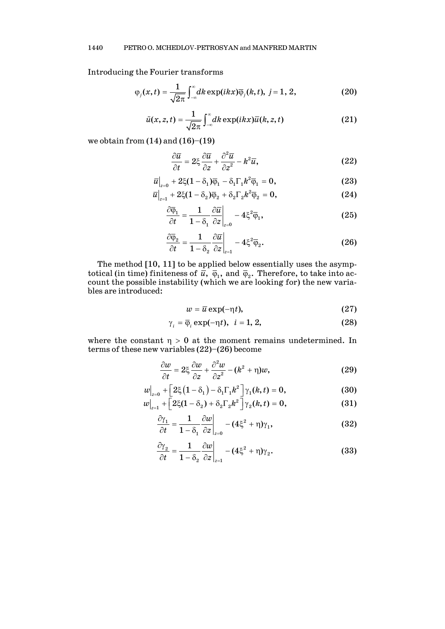Introducing the Fourier transforms

$$
\varphi_j(x,t) = \frac{1}{\sqrt{2\pi}} \int_{-\infty}^{\infty} dk \exp(ikx) \overline{\varphi}_j(k,t), \ j=1, 2,
$$
 (20)

$$
\tilde{u}(x,z,t) = \frac{1}{\sqrt{2\pi}} \int_{-\infty}^{\infty} dk \exp(ikx) \overline{u}(k,z,t)
$$
 (21)

we obtain from  $(14)$  and  $(16)$ – $(19)$ 

$$
\frac{\partial \overline{u}}{\partial t} = 2\xi \frac{\partial \overline{u}}{\partial z} + \frac{\partial^2 \overline{u}}{\partial z^2} - k^2 \overline{u},\tag{22}
$$

$$
\overline{u}\big|_{z=0} + 2\xi(1-\delta_1)\overline{\varphi}_1 - \delta_1\Gamma_1k^2\overline{\varphi}_1 = 0, \qquad (23)
$$

$$
\overline{u}\big|_{z=1} + 2\xi(1-\delta_2)\overline{\varphi}_2 + \delta_2\Gamma_2 k^2\overline{\varphi}_2 = 0, \qquad (24)
$$

$$
\frac{\partial \overline{\varphi}_1}{\partial t} = \frac{1}{1 - \delta_1} \frac{\partial \overline{u}}{\partial z} \bigg|_{z=0} - 4 \xi^2 \overline{\varphi}_1,\tag{25}
$$

$$
\frac{\partial \overline{\varphi}_2}{\partial t} = \frac{1}{1 - \delta_2} \frac{\partial \overline{u}}{\partial z} \bigg|_{z=1} - 4 \xi^2 \overline{\varphi}_2.
$$
 (26)

The method [10, 11] to be applied below essentially uses the asymptotical (in time) finiteness of  $\bar{u}$ ,  $\bar{\varphi}_1$ , and  $\bar{\varphi}_2$ . Therefore, to take into account the possible instability (which we are looking for) the new variables are introduced:

$$
w = \overline{u} \exp(-\eta t), \tag{27}
$$

$$
\gamma_i = \overline{\varphi}_i \exp(-\eta t), \quad i = 1, 2,
$$
\n(28)

where the constant  $\eta > 0$  at the moment remains undetermined. In terms of these new variables (22)–(26) become

$$
\frac{\partial w}{\partial t} = 2\xi \frac{\partial w}{\partial z} + \frac{\partial^2 w}{\partial z^2} - (k^2 + \eta)w,\tag{29}
$$

$$
w\Big|_{z=0} + \Big[2\xi\big(1-\delta_1\big) - \delta_1\Gamma_1k^2\Big]\gamma_1(k,t) = 0, \tag{30}
$$

$$
w\big|_{z=1} + \big[2\xi(1-\delta_2) + \delta_2\Gamma_2 k^2\big]\gamma_2(k,t) = 0, \qquad (31)
$$

$$
\frac{\partial \gamma_1}{\partial t} = \frac{1}{1 - \delta_1} \frac{\partial w}{\partial z}\bigg|_{z=0} - (4\xi^2 + \eta)\gamma_1,\tag{32}
$$

$$
\frac{\partial \gamma_2}{\partial t} = \frac{1}{1 - \delta_2} \left. \frac{\partial w}{\partial z} \right|_{z=1} - (4\xi^2 + \eta)\gamma_2.
$$
 (33)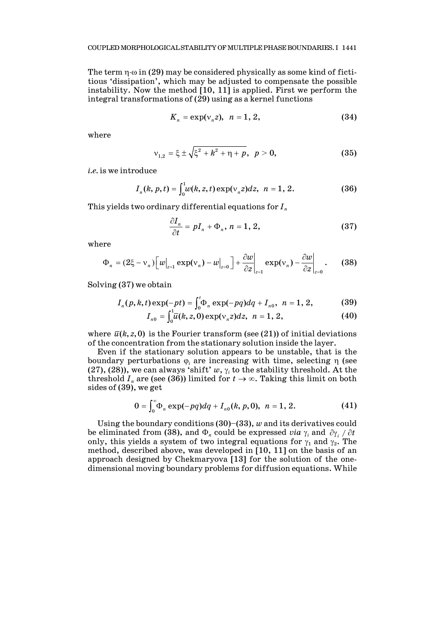The term  $\eta \cdot \omega$  in (29) may be considered physically as some kind of fictitious 'dissipation', which may be adjusted to compensate the possible instability. Now the method [10, 11] is applied. First we perform the integral transformations of (29) using as a kernel functions

$$
K_n = \exp(\nu_n z), \quad n = 1, 2,
$$
\n
$$
(34)
$$

where

$$
v_{1,2} = \xi \pm \sqrt{\xi^2 + k^2 + \eta + p}, \ \ p > 0,
$$
 (35)

*i.e.* is we introduce

$$
I_n(k, p, t) = \int_0^1 w(k, z, t) \exp(v_n z) dz, \ \ n = 1, 2. \tag{36}
$$

This yields two ordinary differential equations for *In*

$$
\frac{\partial I_n}{\partial t} = pI_n + \Phi_n, n = 1, 2,
$$
\n(37)

where

$$
\Phi_n = (2\xi - v_n) \Big[ w\big|_{z=1} \exp(v_n) - w\big|_{z=0} \Big] + \frac{\partial w}{\partial z} \Big|_{z=1} \exp(v_n) - \frac{\partial w}{\partial z} \Big|_{z=0} . \tag{38}
$$

Solving (37) we obtain

$$
I_n(p, k, t) \exp(-pt) = \int_0^t \Phi_n \exp(-pq) dq + I_{n0}, \quad n = 1, 2,
$$
 (39)

$$
I_{n0} = \int_0^1 \overline{u}(k, z, 0) \exp(v_n z) dz, \ \ n = 1, 2,
$$
 (40)

where  $\bar{u}(k, z, 0)$  is the Fourier transform (see (21)) of initial deviations of the concentration from the stationary solution inside the layer.

Even if the stationary solution appears to be unstable, that is the boundary perturbations  $φ<sub>i</sub>$  are increasing with time, selecting η (see (27), (28)), we can always 'shift'  $w$ ,  $\gamma_i$  to the stability threshold. At the threshold  $I_n$  are (see (36)) limited for  $t \to \infty$ . Taking this limit on both sides of (39), we get

$$
0 = \int_0^\infty \Phi_n \exp(-pq) dq + I_{n0}(k, p, 0), \ \ n = 1, 2. \tag{41}
$$

Using the boundary conditions (30)–(33), *w* and its derivatives could be eliminated from (38), and  $\Phi_n$  could be expressed *via*  $\gamma_i$  and  $\partial \gamma_i / \partial t$ only, this yields a system of two integral equations for  $\gamma_1$  and  $\gamma_2$ . The method, described above, was developed in [10, 11] on the basis of an approach designed by Chekmaryova [13] for the solution of the onedimensional moving boundary problems for diffusion equations. While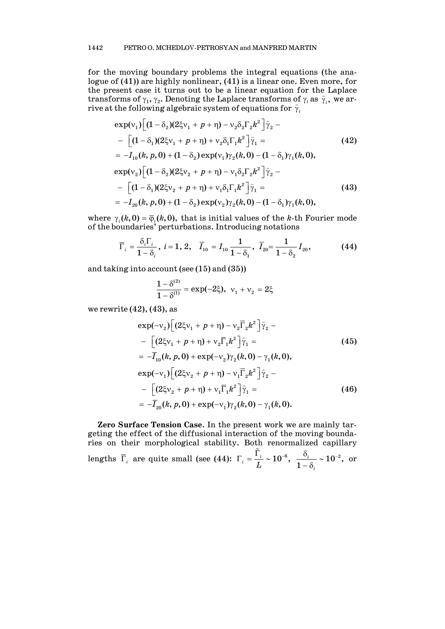for the moving boundary problems the integral equations (the analogue of (41)) are highly nonlinear, (41) is a linear one. Even more, for the present case it turns out to be a linear equation for the Laplace transforms of  $\gamma_1$ ,  $\gamma_2$ . Denoting the Laplace transforms of  $\gamma_i$  as  $\hat{\gamma}_i$ , we arrive at the following algebraic system of equations for  $\hat{\gamma}$ *i*

$$
\exp(v_1) \Big[ (1 - \delta_2) (2\xi v_1 + p + \eta) - v_2 \delta_2 \Gamma_2 k^2 \Big] \hat{\gamma}_2 -
$$
  
\n
$$
- \Big[ (1 - \delta_1) (2\xi v_1 + p + \eta) + v_2 \delta_1 \Gamma_1 k^2 \Big] \hat{\gamma}_1 =
$$
  
\n
$$
= -I_{10}(k, p, 0) + (1 - \delta_2) \exp(v_1) \gamma_2(k, 0) - (1 - \delta_1) \gamma_1(k, 0),
$$
  
\n
$$
\exp(v_2) \Big[ (1 - \delta_2) (2\xi v_2 + p + \eta) - v_1 \delta_2 \Gamma_2 k^2 \Big] \hat{\gamma}_2 -
$$
  
\n
$$
- \Big[ (1 - \delta_1) (2\xi v_2 + p + \eta) + v_1 \delta_1 \Gamma_1 k^2 \Big] \hat{\gamma}_1 =
$$
  
\n
$$
= -I_{20}(k, p, 0) + (1 - \delta_2) \exp(v_2) \gamma_2(k, 0) - (1 - \delta_1) \gamma_1(k, 0),
$$
  
\n(43)

where  $\gamma_i(k,0) = \overline{\varphi}_i(k,0)$ , that is initial values of the *k*-th Fourier mode of the boundaries' perturbations. Introducing notations

$$
\overline{\Gamma}_i = \frac{\delta_i \Gamma_i}{1 - \delta_i}, \ i = 1, 2, \quad \overline{I}_{10} = I_{10} \frac{1}{1 - \delta_1}, \ \overline{I}_{20} = \frac{1}{1 - \delta_2} I_{20}, \tag{44}
$$

and taking into account (see (15) and (35))

$$
\frac{1-\delta^{(2)}}{1-\delta^{(1)}}=\exp(-2\xi),\ \ v_1+v_2=2\xi
$$

we rewrite  $(42)$ ,  $(43)$ , as

$$
\exp(-v_2) \Big[ (2\xi v_1 + p + \eta) - v_2 \overline{\Gamma}_2 k^2 \Big] \hat{\gamma}_2 -
$$
  
\n
$$
- \Big[ (2\xi v_1 + p + \eta) + v_2 \overline{\Gamma}_1 k^2 \Big] \hat{\gamma}_1 =
$$
  
\n
$$
= -\overline{I}_{10}(k, p, 0) + \exp(-v_2) \gamma_2(k, 0) - \gamma_1(k, 0),
$$
  
\n
$$
\exp(-v_1) \Big[ (2\xi v_2 + p + \eta) - v_1 \overline{\Gamma}_2 k^2 \Big] \hat{\gamma}_2 -
$$
  
\n
$$
- \Big[ (2\xi v_2 + p + \eta) + v_1 \overline{\Gamma}_1 k^2 \Big] \hat{\gamma}_1 =
$$
  
\n
$$
= -\overline{I}_{20}(k, p, 0) + \exp(-v_1) \gamma_2(k, 0) - \gamma_1(k, 0).
$$
\n(46)

**Zero Surface Tension Case**. In the present work we are mainly targeting the effect of the diffusional interaction of the moving boundaries on their morphological stability. Both renormalized capillary lengths  $\overline{\Gamma}_i$  are quite small (see (44):  $\Gamma_i = \frac{\tilde{\Gamma}_i}{I} \sim 10^{-6}$ ,  $\frac{1}{\mu} = \frac{1}{L} \sim 10^{-6}, \frac{0}{1-\delta_i} \sim 10^{-2},$  $\frac{\delta_i}{-\delta_i} \sim 10^{-2}$ , or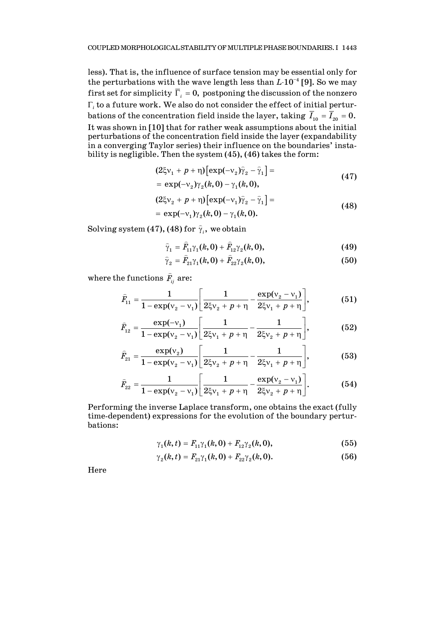less). That is, the influence of surface tension may be essential only for the perturbations with the wave length less than *L*⋅10<sup>−</sup><sup>4</sup> [9]. So we may first set for simplicity  $\overline{\Gamma}_i = 0$ , postponing the discussion of the nonzero Γ*<sup>i</sup>* to a future work. We also do not consider the effect of initial perturbations of the concentration field inside the layer, taking  $\overline{I}_{10} = \overline{I}_{20} = 0$ . It was shown in [10] that for rather weak assumptions about the initial perturbations of the concentration field inside the layer (expandability in a converging Taylor series) their influence on the boundaries' instability is negligible. Then the system (45), (46) takes the form:

$$
(2\xi v_1 + p + \eta) \left[\exp(-v_2)\hat{\gamma}_2 - \hat{\gamma}_1\right] =
$$
  
=  $\exp(-v_2)\gamma_2(k, 0) - \gamma_1(k, 0),$  (47)

$$
(2\xi v_2 + p + \eta) [\exp(-v_1)\hat{\gamma}_2 - \hat{\gamma}_1] =
$$
  
=  $\exp(-v_1)\gamma_2(k, 0) - \gamma_1(k, 0).$  (48)

Solving system (47), (48) for  $\widehat{\gamma}_{i}$ , we obtain

$$
\hat{\gamma}_1 = \hat{F}_{11}\gamma_1(k,0) + \hat{F}_{12}\gamma_2(k,0),
$$
\n(49)

$$
\hat{\gamma}_2 = \hat{F}_{21}\gamma_1(k,0) + \hat{F}_{22}\gamma_2(k,0),
$$
\n(50)

where the functions  $\widehat{F}_{\!\scriptscriptstyle i j}$  are:

$$
\widehat{F}_{11} = \frac{1}{1 - \exp(v_2 - v_1)} \left[ \frac{1}{2\xi v_2 + p + \eta} - \frac{\exp(v_2 - v_1)}{2\xi v_1 + p + \eta} \right],
$$
(51)

$$
\widehat{F}_{12} = \frac{\exp(-v_1)}{1 - \exp(v_2 - v_1)} \left[ \frac{1}{2\xi v_1 + p + \eta} - \frac{1}{2\xi v_2 + p + \eta} \right],
$$
(52)

$$
\widehat{F}_{21} = \frac{\exp(\nu_2)}{1 - \exp(\nu_2 - \nu_1)} \left[ \frac{1}{2\xi\nu_2 + p + \eta} - \frac{1}{2\xi\nu_1 + p + \eta} \right],
$$
(53)

$$
\widehat{F}_{22} = \frac{1}{1 - \exp(v_2 - v_1)} \left[ \frac{1}{2\xi v_1 + p + \eta} - \frac{\exp(v_2 - v_1)}{2\xi v_2 + p + \eta} \right].
$$
 (54)

Performing the inverse Laplace transform, one obtains the exact (fully time-dependent) expressions for the evolution of the boundary perturbations:

$$
\gamma_1(k,t) = F_{11}\gamma_1(k,0) + F_{12}\gamma_2(k,0), \qquad (55)
$$

$$
\gamma_2(k,t) = F_{21}\gamma_1(k,0) + F_{22}\gamma_2(k,0). \tag{56}
$$

Here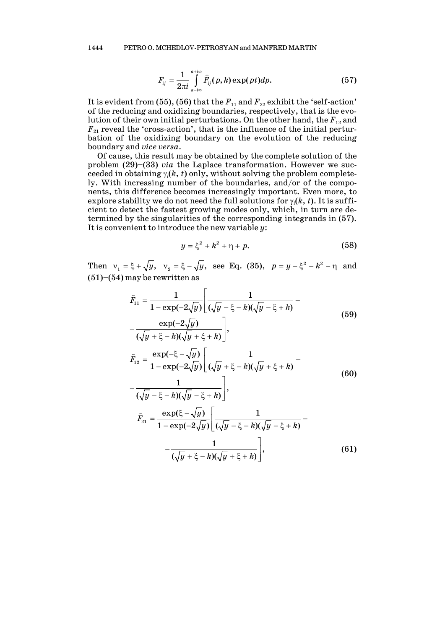$$
F_{ij} = \frac{1}{2\pi i} \int_{a-i\infty}^{a+i\infty} \widehat{F}_{ij}(p,k) \exp(pt) dp.
$$
 (57)

It is evident from (55), (56) that the  $F_{11}$  and  $F_{22}$  exhibit the 'self-action' of the reducing and oxidizing boundaries, respectively, that is the evolution of their own initial perturbations. On the other hand, the  $F_{12}$  and  $F_{21}$  reveal the 'cross-action', that is the influence of the initial perturbation of the oxidizing boundary on the evolution of the reducing boundary and *vice versa*.

Of cause, this result may be obtained by the complete solution of the problem (29)–(33) *via* the Laplace transformation. However we succeeded in obtaining  $\gamma_i(k, t)$  only, without solving the problem completely. With increasing number of the boundaries, and/or of the components, this difference becomes increasingly important. Even more, to explore stability we do not need the full solutions for  $\gamma_i(k, t)$ . It is sufficient to detect the fastest growing modes only, which, in turn are determined by the singularities of the corresponding integrands in (57). It is convenient to introduce the new variable *y*:

$$
y = \xi^2 + k^2 + \eta + p. \tag{58}
$$

Then  $v_1 = \xi + \sqrt{y}$ ,  $v_2 = \xi - \sqrt{y}$ , see Eq. (35),  $p = y - \xi^2 - k^2 - \eta$  and  $(51)–(54)$  may be rewritten as

$$
\hat{F}_{11} = \frac{1}{1 - \exp(-2\sqrt{y})} \left[ \frac{1}{(\sqrt{y} - \xi - k)(\sqrt{y} - \xi + k)} - \frac{\exp(-2\sqrt{y})}{(\sqrt{y} + \xi - k)(\sqrt{y} + \xi + k)} \right],
$$
\n
$$
\hat{F}_{12} = \frac{\exp(-\xi - \sqrt{y})}{1 - \exp(-2\sqrt{y})} \left[ \frac{1}{(\sqrt{y} + \xi - k)(\sqrt{y} + \xi + k)} - \frac{1}{(\sqrt{y} - \xi - k)(\sqrt{y} - \xi + k)} \right],
$$
\n
$$
\hat{F}_{21} = \frac{\exp(\xi - \sqrt{y})}{1 - \exp(-2\sqrt{y})} \left[ \frac{1}{(\sqrt{y} - \xi - k)(\sqrt{y} - \xi + k)} - \frac{1}{(\sqrt{y} + \xi - k)(\sqrt{y} + \xi + k)} \right].
$$
\n(61)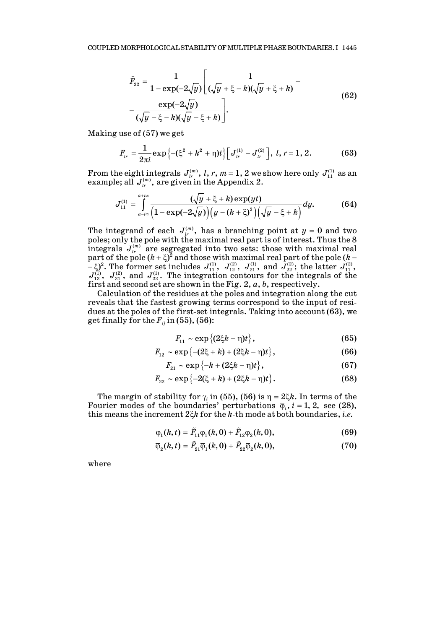$$
\hat{F}_{22} = \frac{1}{1 - \exp(-2\sqrt{y})} \left[ \frac{1}{(\sqrt{y} + \xi - k)(\sqrt{y} + \xi + k)} - \frac{\exp(-2\sqrt{y})}{(\sqrt{y} - \xi - k)(\sqrt{y} - \xi + k)} \right].
$$
\n(62)

Making use of (57) we get

$$
F_{lr} = \frac{1}{2\pi i} \exp \left\{-(\xi^2 + k^2 + \eta)t\right\} \left[J_{lr}^{(1)} - J_{lr}^{(2)}\right], l, r = 1, 2. \tag{63}
$$

From the eight integrals  $J_{lr}^{(m)}$ , *l*, *r*, *m* = 1, 2 we show here only  $J_{11}^{(1)}$  as an example; all  $J_{ir}^{(m)}$ , are given in the Appendix 2.

$$
J_{11}^{(1)} = \int_{a-i\infty}^{a+i\infty} \frac{(\sqrt{y} + \xi + k) \exp(yt)}{\left(1 - \exp(-2\sqrt{y})\right) \left(y - (k + \xi)^2\right) \left(\sqrt{y} - \xi + k\right)} dy.
$$
 (64)

The integrand of each  $J_{l_r}^{(m)}$ , has a branching point at  $y = 0$  and two poles; only the pole with the maximal real part is of interest. Thus the 8 integrals  $J_{lr}^{(m)}$  are segregated into two sets: those with maximal real part of the pole ( $k$  +  $\xi$ )<sup>2</sup> and those with maximal real part of the pole ( $k$  −  $\begin{bmatrix} -\xi \end{bmatrix}^2$ . The former set includes  $J_{11}^{(1)}$ ,  $J_{12}^{(2)}$ ,  $J_{21}^{(1)}$ , and  $J_{22}^{(2)}$ ; the latter  $J_{11}^{(2)}$ ,  $J_{12}^{(1)}$ ,  $J_{21}^{(2)}$ , and  $J_{22}^{(1)}$ . The integration contours for the integrals of the first and second set are shown in the Fig. 2, *a*, *b*, respectively.

Calculation of the residues at the poles and integration along the cut reveals that the fastest growing terms correspond to the input of residues at the poles of the first-set integrals. Taking into account (63), we get finally for the  $F_{ij}$  in (55), (56):

$$
F_{11} \sim \exp\left\{ (2\xi k - \eta)t \right\},\tag{65}
$$

$$
F_{12} \sim \exp\left\{-(2\xi + k) + (2\xi k - \eta)t\right\},\tag{66}
$$

$$
F_{21} \sim \exp\left\{-k + (2\xi k - \eta)t\right\},\tag{67}
$$

$$
F_{22} \sim \exp\{-2(\xi + k) + (2\xi k - \eta)t\}.
$$
 (68)

The margin of stability for  $\gamma_i$  in (55), (56) is  $\eta = 2\xi k$ . In terms of the Fourier modes of the boundaries' perturbations  $\overline{\varphi}_i$ ,  $i = 1, 2$ , see (28), this means the increment  $2\xi k$  for the  $k$ -th mode at both boundaries, *i.e.* 

$$
\overline{\varphi}_1(k,t) = \tilde{F}_{11} \overline{\varphi}_1(k,0) + \tilde{F}_{12} \overline{\varphi}_2(k,0),
$$
\n(69)

$$
\overline{\varphi}_2(k,t) = \tilde{F}_{21}\overline{\varphi}_1(k,0) + \tilde{F}_{22}\overline{\varphi}_2(k,0),\tag{70}
$$

where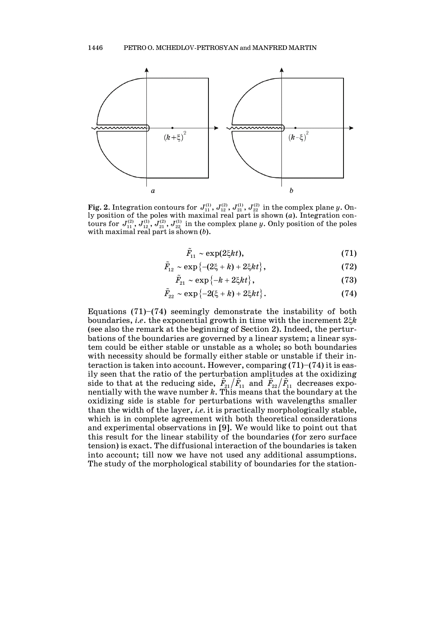

**Fig. 2.** Integration contours for  $J_{11}^{(1)}$ ,  $J_{12}^{(2)}$ ,  $J_{21}^{(1)}$ ,  $J_{22}^{(2)}$  in the complex plane *y*. Only position of the poles with maximal real part is shown (*a*). Integration contours for  $J_{11}^{(2)}, J_{12}^{(1)}, J_{21}^{(2)}, J_{22}^{(1)}$  in the complex plane *y*. Only position of the poles with maximal real part is shown (*b*).

$$
\tilde{F}_{11} \sim \exp(2\xi kt),\tag{71}
$$

$$
\tilde{F}_{12} \sim \exp\left\{-(2\xi + k) + 2\xi kt\right\},\tag{72}
$$

$$
\tilde{F}_{21} \sim \exp\left\{-k + 2\xi kt\right\},\tag{73}
$$

$$
\tilde{F}_{22} \sim \exp\left\{-2(\xi + k) + 2\xi kt\right\}.
$$
\n(74)

Equations  $(71)$ – $(74)$  seemingly demonstrate the instability of both boundaries, *i.e.* the exponential growth in time with the increment  $2\xi k$ (see also the remark at the beginning of Section 2). Indeed, the perturbations of the boundaries are governed by a linear system; a linear system could be either stable or unstable as a whole**;** so both boundaries with necessity should be formally either stable or unstable if their interaction is taken into account. However, comparing  $(71)$ – $(74)$  it is easily seen that the ratio of the perturbation amplitudes at the oxidizing side to that at the reducing side,  $\tilde{F}_{21}/\tilde{F}_{11}$  and  $\tilde{F}_{22}/\tilde{F}_{11}$  decreases exponentially with the wave number *k*. This means that the boundary at the oxidizing side is stable for perturbations with wavelengths smaller than the width of the layer, *i.e.* it is practically morphologically stable, which is in complete agreement with both theoretical considerations and experimental observations in [9]. We would like to point out that this result for the linear stability of the boundaries (for zero surface tension) is exact. The diffusional interaction of the boundaries is taken into account; till now we have not used any additional assumptions. The study of the morphological stability of boundaries for the station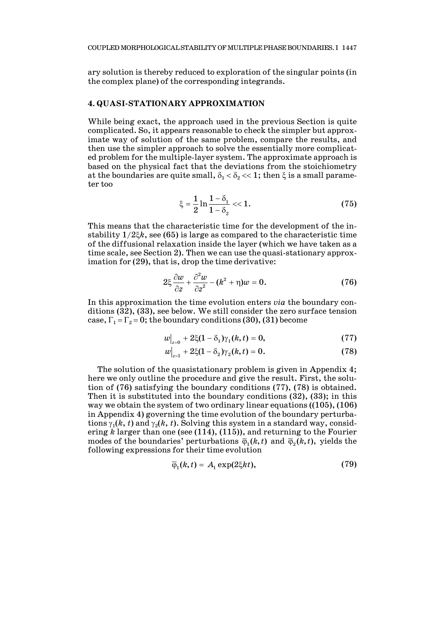ary solution is thereby reduced to exploration of the singular points (in the complex plane) of the corresponding integrands.

### **4. QUASI-STATIONARY APPROXIMATION**

While being exact, the approach used in the previous Section is quite complicated. So, it appears reasonable to check the simpler but approximate way of solution of the same problem, compare the results, and then use the simpler approach to solve the essentially more complicated problem for the multiple-layer system. The approximate approach is based on the physical fact that the deviations from the stoichiometry at the boundaries are quite small,  $\delta_1 < \delta_2 < 1$ ; then  $\xi$  is a small parameter too

$$
\xi = \frac{1}{2} \ln \frac{1 - \delta_1}{1 - \delta_2} \ll 1. \tag{75}
$$

This means that the characteristic time for the development of the instability  $1/2\xi k$ , see (65) is large as compared to the characteristic time of the diffusional relaxation inside the layer (which we have taken as a time scale, see Section 2). Then we can use the quasi-stationary approximation for (29), that is, drop the time derivative:

$$
2\xi \frac{\partial w}{\partial z} + \frac{\partial^2 w}{\partial z^2} - (k^2 + \eta)w = 0.
$$
 (76)

In this approximation the time evolution enters *via* the boundary conditions (32), (33), see below. We still consider the zero surface tension case,  $\Gamma_1 = \Gamma_2 = 0$ ; the boundary conditions (30), (31) become

$$
w\Big|_{z=0} + 2\xi(1-\delta_1)\gamma_1(k,t) = 0, \tag{77}
$$

$$
w\big|_{z=1} + 2\xi(1-\delta_2)\gamma_2(k,t) = 0. \tag{78}
$$

The solution of the quasistationary problem is given in Appendix 4; here we only outline the procedure and give the result. First, the solution of (76) satisfying the boundary conditions (77), (78) is obtained. Then it is substituted into the boundary conditions (32), (33); in this way we obtain the system of two ordinary linear equations ((105), (106) in Appendix 4) governing the time evolution of the boundary perturbations  $\gamma_1(k, t)$  and  $\gamma_2(k, t)$ . Solving this system in a standard way, considering *k* larger than one (see (114), (115)), and returning to the Fourier modes of the boundaries' perturbations  $\bar{\varphi}_1(k,t)$  and  $\bar{\varphi}_2(k,t)$ , yields the following expressions for their time evolution

$$
\overline{\varphi}_1(k,t) = A_1 \exp(2\xi kt), \qquad (79)
$$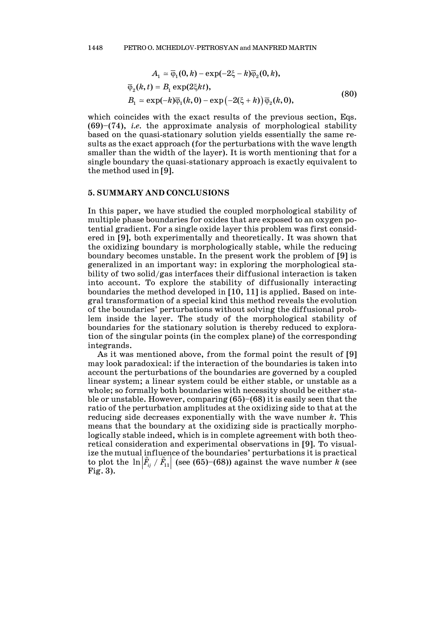$$
A_1 \approx \overline{\varphi}_1(0,k) - \exp(-2\xi - k)\overline{\varphi}_2(0,k),
$$
  
\n
$$
\overline{\varphi}_2(k,t) = B_1 \exp(2\xi kt),
$$
  
\n
$$
B_1 \approx \exp(-k)\overline{\varphi}_1(k,0) - \exp(-2(\xi + k))\overline{\varphi}_2(k,0),
$$
\n(80)

which coincides with the exact results of the previous section, Eqs. (69)–(74), *i.e.* the approximate analysis of morphological stability based on the quasi-stationary solution yields essentially the same results as the exact approach (for the perturbations with the wave length smaller than the width of the layer). It is worth mentioning that for a single boundary the quasi-stationary approach is exactly equivalent to the method used in [9].

#### **5. SUMMARY AND CONCLUSIONS**

In this paper, we have studied the coupled morphological stability of multiple phase boundaries for oxides that are exposed to an oxygen potential gradient. For a single oxide layer this problem was first considered in [9], both experimentally and theoretically. It was shown that the oxidizing boundary is morphologically stable, while the reducing boundary becomes unstable. In the present work the problem of [9] is generalized in an important way: in exploring the morphological stability of two solid/gas interfaces their diffusional interaction is taken into account. To explore the stability of diffusionally interacting boundaries the method developed in [10, 11] is applied. Based on integral transformation of a special kind this method reveals the evolution of the boundaries' perturbations without solving the diffusional problem inside the layer. The study of the morphological stability of boundaries for the stationary solution is thereby reduced to exploration of the singular points (in the complex plane) of the corresponding integrands.

As it was mentioned above, from the formal point the result of [9] may look paradoxical: if the interaction of the boundaries is taken into account the perturbations of the boundaries are governed by a coupled linear system; a linear system could be either stable, or unstable as a whole; so formally both boundaries with necessity should be either stable or unstable. However, comparing (65)–(68) it is easily seen that the ratio of the perturbation amplitudes at the oxidizing side to that at the reducing side decreases exponentially with the wave number *k*. This means that the boundary at the oxidizing side is practically morphologically stable indeed, which is in complete agreement with both theoretical consideration and experimental observations in [9]. To visualize the mutual influence of the boundaries' perturbations it is practical to plot the  $\ln | \tilde{F}_{ij} / \tilde{F}_{11} |$  (see (65)–(68)) against the wave number *k* (see Fig. 3).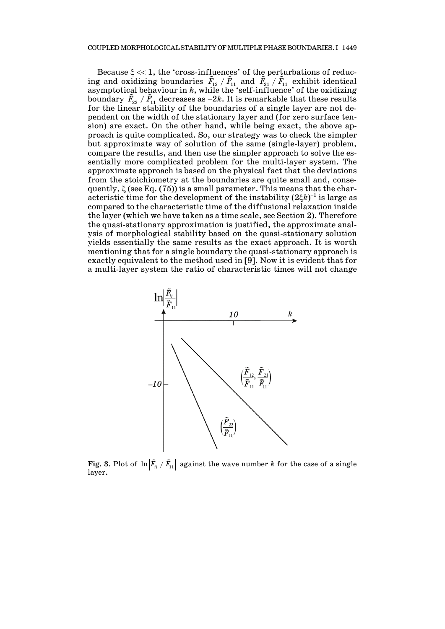Because  $\xi \ll 1$ , the 'cross-influences' of the perturbations of reducing and oxidizing boundaries  $\tilde{F}_{12}$  /  $\tilde{F}_{11}$  and  $\tilde{F}_{21}$  /  $\tilde{F}_{11}$  exhibit identical asymptotical behaviour in *k*, while the 'self-influence' of the oxidizing boundary  $\tilde{F}_{22} / \tilde{F}_{11}$  decreases as  $-2k$ . It is remarkable that these results for the linear stability of the boundaries of a single layer are not dependent on the width of the stationary layer and (for zero surface tension) are exact. On the other hand, while being exact, the above approach is quite complicated. So, our strategy was to check the simpler but approximate way of solution of the same (single-layer) problem, compare the results, and then use the simpler approach to solve the essentially more complicated problem for the multi-layer system. The approximate approach is based on the physical fact that the deviations from the stoichiometry at the boundaries are quite small and, consequently,  $\xi$  (see Eq. (75)) is a small parameter. This means that the characteristic time for the development of the instability  $(2ξk)^{-1}$  is large as compared to the characteristic time of the diffusional relaxation inside the layer (which we have taken as a time scale, see Section 2). Therefore the quasi-stationary approximation is justified, the approximate analysis of morphological stability based on the quasi-stationary solution yields essentially the same results as the exact approach. It is worth mentioning that for a single boundary the quasi-stationary approach is exactly equivalent to the method used in [9]. Now it is evident that for a multi-layer system the ratio of characteristic times will not change



**Fig. 3.** Plot of  $\ln |\tilde{F}_{ij} / \tilde{F}_{11}|$  against the wave number  $k$  for the case of a single layer.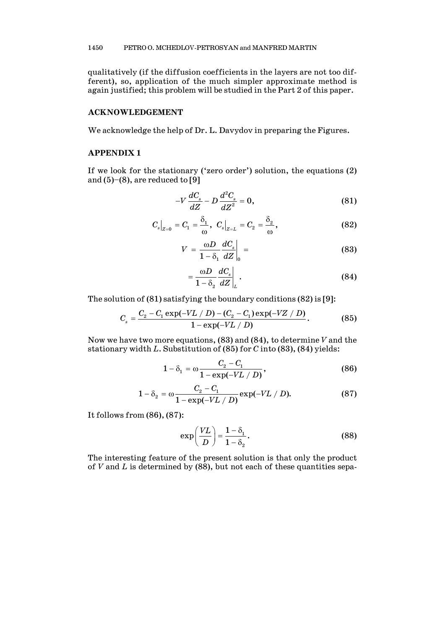qualitatively (if the diffusion coefficients in the layers are not too different), so, application of the much simpler approximate method is again justified; this problem will be studied in the Part 2 of this paper.

## **ACKNOWLEDGEMENT**

We acknowledge the help of Dr. L. Davydov in preparing the Figures.

### **APPENDIX 1**

If we look for the stationary ('zero order') solution, the equations (2) and  $(5)-(8)$ , are reduced to [9]

$$
-V\frac{dC_s}{dZ} - D\frac{d^2C_s}{dZ^2} = 0,
$$
\t(81)

$$
C_s|_{Z=0} = C_1 = \frac{\delta_1}{\omega}, \ C_s|_{Z=L} = C_2 = \frac{\delta_2}{\omega},
$$
 (82)

$$
V = \frac{\omega D}{1 - \delta_1} \frac{dC_s}{dZ} \bigg|_0 = \tag{83}
$$

$$
=\frac{\omega D}{1-\delta_2}\frac{dC_s}{dZ}\bigg|_L\,.\tag{84}
$$

The solution of (81) satisfying the boundary conditions (82) is [9]:

$$
C_{s} = \frac{C_{2} - C_{1} \exp(-VL/D) - (C_{2} - C_{1}) \exp(-VZ/D)}{1 - \exp(-VL/D)}.
$$
 (85)

Now we have two more equations, (83) and (84), to determine *V* and the stationary width *L*. Substitution of (85) for *C* into (83), (84) yields:

$$
1 - \delta_1 = \omega \frac{C_2 - C_1}{1 - \exp(-VL/D)},
$$
\n(86)

$$
1 - \delta_2 = \omega \frac{C_2 - C_1}{1 - \exp(-VL/D)} \exp(-VL/D).
$$
 (87)

It follows from (86), (87):

$$
\exp\left(\frac{VL}{D}\right) = \frac{1-\delta_1}{1-\delta_2}.\tag{88}
$$

The interesting feature of the present solution is that only the product of *V* and *L* is determined by (88), but not each of these quantities sepa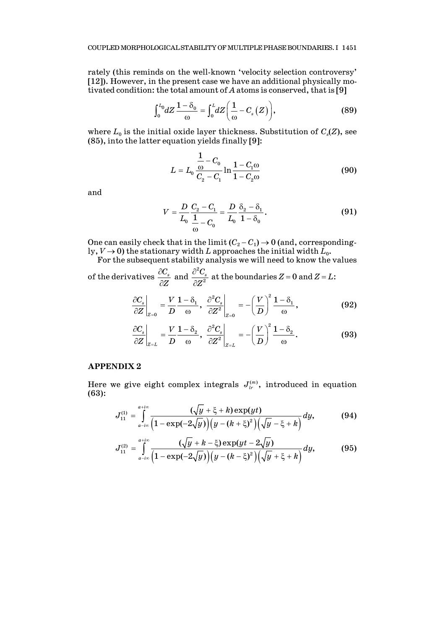rately (this reminds on the well-known 'velocity selection controversy' [12]). However, in the present case we have an additional physically motivated condition: the total amount of *A* atoms is conserved, that is [9]

$$
\int_0^{L_0} dZ \frac{1-\delta_0}{\omega} = \int_0^L dZ \bigg(\frac{1}{\omega} - C_s(Z)\bigg),\tag{89}
$$

where  $L_0$  is the initial oxide layer thickness. Substitution of  $C_s(Z)$ , see (85), into the latter equation yields finally [9]:

$$
L = L_0 \frac{\frac{1}{\omega} - C_0}{C_2 - C_1} \ln \frac{1 - C_1 \omega}{1 - C_2 \omega}
$$
(90)

and

$$
V = \frac{D}{L_0} \frac{C_2 - C_1}{\frac{1}{\omega} - C_0} = \frac{D}{L_0} \frac{\delta_2 - \delta_1}{1 - \delta_0}.
$$
 (91)

One can easily check that in the limit  $(C_2 - C_1) \rightarrow 0$  (and, correspondingly,  $V \rightarrow 0$ ) the stationary width *L* approaches the initial width  $L_0$ .

For the subsequent stability analysis we will need to know the values of the derivatives  $\frac{\partial C_s}{\partial \mathbf{Z}}$ ∂ 2 ∂

*Z* ∂ and  $\frac{C_{s}}{Z^{2}}$ *Z* ∂ at the boundaries  $Z = 0$  and  $Z = L$ :  $\sqrt{1+\lambda^2}$ 

$$
\left. \frac{\partial C_s}{\partial Z} \right|_{Z=0} = \frac{V}{D} \frac{1 - \delta_1}{\omega}, \left. \frac{\partial^2 C_s}{\partial Z^2} \right|_{Z=0} = -\left(\frac{V}{D}\right)^2 \frac{1 - \delta_1}{\omega}, \tag{92}
$$

$$
\left. \frac{\partial C_s}{\partial Z} \right|_{Z=L} = \frac{V}{D} \frac{1-\delta_2}{\omega}, \left. \frac{\partial^2 C_s}{\partial Z^2} \right|_{Z=L} = -\left(\frac{V}{D}\right)^2 \frac{1-\delta_2}{\omega}.
$$
 (93)

## **APPENDIX 2**

Here we give eight complex integrals  $J_{l_r}^{(m)}$ , introduced in equation (63):

$$
J_{11}^{(1)} = \int_{a-i\infty}^{a+i\infty} \frac{(\sqrt{y} + \xi + k) \exp(yt)}{(1 - \exp(-2\sqrt{y})) (y - (k + \xi)^2) (\sqrt{y} - \xi + k)} dy, \tag{94}
$$

$$
J_{11}^{(2)} = \int_{a-i\infty}^{a+i\infty} \frac{(\sqrt{y} + k - \xi) \exp(yt - 2\sqrt{y})}{(1 - \exp(-2\sqrt{y})) (y - (k - \xi)^2) (\sqrt{y} + \xi + k)} dy, \tag{95}
$$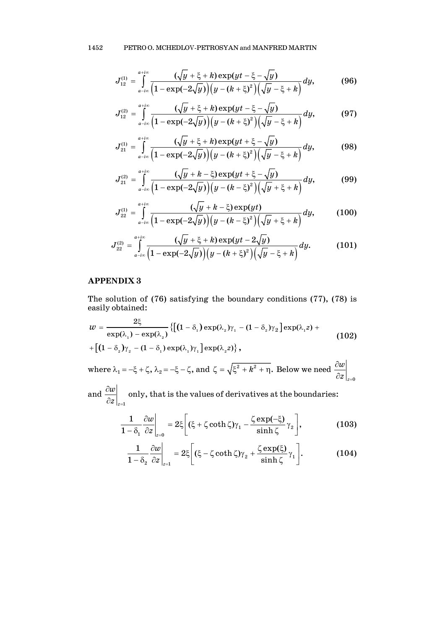$$
J_{12}^{(1)} = \int_{a-i\infty}^{a+i\infty} \frac{(\sqrt{y} + \xi + k) \exp(yt - \xi - \sqrt{y})}{(1 - \exp(-2\sqrt{y})) (y - (k + \xi)^2) (\sqrt{y} - \xi + k)} dy,
$$
(96)

$$
J_{12}^{(2)} = \int_{a-i\infty}^{a+i\infty} \frac{(\sqrt{y} + \xi + k) \exp(yt - \xi - \sqrt{y})}{(1 - \exp(-2\sqrt{y})) (y - (k + \xi)^2) (\sqrt{y} - \xi + k)} dy, \tag{97}
$$

$$
J_{21}^{(1)} = \int_{a-i\infty}^{a+i\infty} \frac{(\sqrt{y} + \xi + k) \exp(yt + \xi - \sqrt{y})}{(1 - \exp(-2\sqrt{y})) (y - (k + \xi)^2) (\sqrt{y} - \xi + k)} dy,
$$
(98)

$$
J_{21}^{(2)} = \int_{a-i\infty}^{a+i\infty} \frac{(\sqrt{y} + k - \xi) \exp(yt + \xi - \sqrt{y})}{(1 - \exp(-2\sqrt{y})) (y - (k - \xi)^2) (\sqrt{y} + \xi + k)} dy,
$$
(99)

$$
J_{22}^{(1)} = \int_{a-i\infty}^{a+i\infty} \frac{(\sqrt{y} + k - \xi) \exp(yt)}{\left(1 - \exp(-2\sqrt{y})\right) \left(y - (k - \xi)^2\right) \left(\sqrt{y} + \xi + k\right)} dy, \quad (100)
$$

$$
J_{22}^{(2)} = \int_{a-ix}^{a+ix} \frac{(\sqrt{y} + \xi + k) \exp(yt - 2\sqrt{y})}{(1 - \exp(-2\sqrt{y})) (y - (k + \xi)^2) (\sqrt{y} - \xi + k)} dy.
$$
 (101)

## **APPENDIX 3**

The solution of (76) satisfying the boundary conditions (77), (78) is easily obtained:

$$
w = \frac{2\xi}{\exp(\lambda_1) - \exp(\lambda_2)} \{ [(1 - \delta_1) \exp(\lambda_2)\gamma_1 - (1 - \delta_2)\gamma_2] \exp(\lambda_1 z) + [(1 - \delta_2)\gamma_2 - (1 - \delta_1) \exp(\lambda_1)\gamma_1] \exp(\lambda_2 z) \},
$$
\n
$$
\text{where } \lambda_1 = -\xi + \zeta, \lambda_2 = -\xi - \zeta, \text{ and } \zeta = \sqrt{\xi^2 + k^2 + \eta}. \text{ Below we need } \frac{\partial w}{\partial z}\Big|_{z=0}
$$

and  $z = 1$ *w*  $z\big|_{z=}$  $\frac{\partial w}{\partial z}\Big|_{z=1}$  only, that is the values of derivatives at the boundaries:

$$
\frac{1}{1-\delta_1} \frac{\partial w}{\partial z}\bigg|_{z=0} = 2\xi \bigg[ (\xi + \zeta \coth \zeta) \gamma_1 - \frac{\zeta \exp(-\xi)}{\sinh \zeta} \gamma_2 \bigg],
$$
(103)

$$
\frac{1}{1-\delta_2} \frac{\partial w}{\partial z}\bigg|_{z=1} = 2\xi \bigg[ (\xi - \zeta \coth \zeta) \gamma_2 + \frac{\zeta \exp(\xi)}{\sinh \zeta} \gamma_1 \bigg]. \tag{104}
$$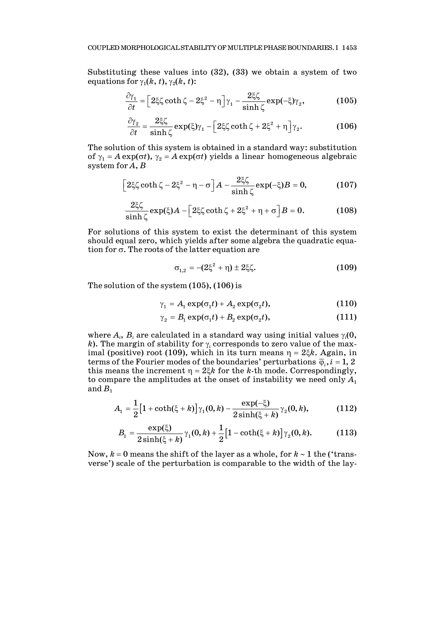Substituting these values into (32), (33) we obtain a system of two equations for  $\gamma_1(k, t)$ ,  $\gamma_2(k, t)$ :

$$
\frac{\partial \gamma_1}{\partial t} = \left[2\xi\zeta\coth\zeta - 2\xi^2 - \eta\right]\gamma_1 - \frac{2\xi\zeta}{\sinh\zeta}\exp(-\xi)\gamma_2,\tag{105}
$$

$$
\frac{\partial \gamma_2}{\partial t} = \frac{2\xi\zeta}{\sinh \zeta} \exp(\xi)\gamma_1 - \left[2\xi\zeta \coth \zeta + 2\xi^2 + \eta\right]\gamma_2.
$$
 (106)

The solution of this system is obtained in a standard way: substitution of  $\gamma_1 = A \exp(\sigma t)$ ,  $\gamma_2 = A \exp(\sigma t)$  yields a linear homogeneous algebraic system for *A*, *B*

$$
\left[2\xi\zeta\coth\zeta-2\xi^2-\eta-\sigma\right]A-\frac{2\xi\zeta}{\sinh\zeta}\exp(-\xi)B=0,\qquad\qquad(107)
$$

$$
\frac{2\xi\zeta}{\sinh\zeta}\exp(\xi)A-\left[2\xi\zeta\coth\zeta+2\xi^2+\eta+\sigma\right]B=0.\tag{108}
$$

For solutions of this system to exist the determinant of this system should equal zero, which yields after some algebra the quadratic equation for  $\sigma$ . The roots of the latter equation are

$$
\sigma_{1,2} = -(2\xi^2 + \eta) \pm 2\xi\zeta. \tag{109}
$$

The solution of the system (105), (106) is

$$
\gamma_1 = A_1 \exp(\sigma_1 t) + A_2 \exp(\sigma_2 t), \qquad (110)
$$

$$
\gamma_2 = B_1 \exp(\sigma_1 t) + B_2 \exp(\sigma_2 t), \qquad (111)
$$

where  $A_i$ ,  $B_i$  are calculated in a standard way using initial values  $\gamma_i(0)$ , *k*). The margin of stability for  $\gamma_i$  corresponds to zero value of the maximal (positive) root (109), which in its turn means  $\eta = 2\xi k$ . Again, in terms of the Fourier modes of the boundaries' perturbations  $\overline{\varphi}_i$ ,  $i = 1, 2$ this means the increment  $\eta = 2\xi k$  for the *k*-th mode. Correspondingly, to compare the amplitudes at the onset of instability we need only  $A_1$ and  $B_1$ 

$$
A_1 = \frac{1}{2} \big[ 1 + \coth(\xi + k) \big] \gamma_1(0, k) - \frac{\exp(-\xi)}{2 \sinh(\xi + k)} \gamma_2(0, k), \tag{112}
$$

$$
B_1 = \frac{\exp(\xi)}{2\sinh(\xi + k)}\gamma_1(0, k) + \frac{1}{2}\Big[1 - \coth(\xi + k)\Big]\gamma_2(0, k). \tag{113}
$$

Now, *k* = 0 means the shift of the layer as a whole, for *k* ∼ 1 the ('transverse') scale of the perturbation is comparable to the width of the lay